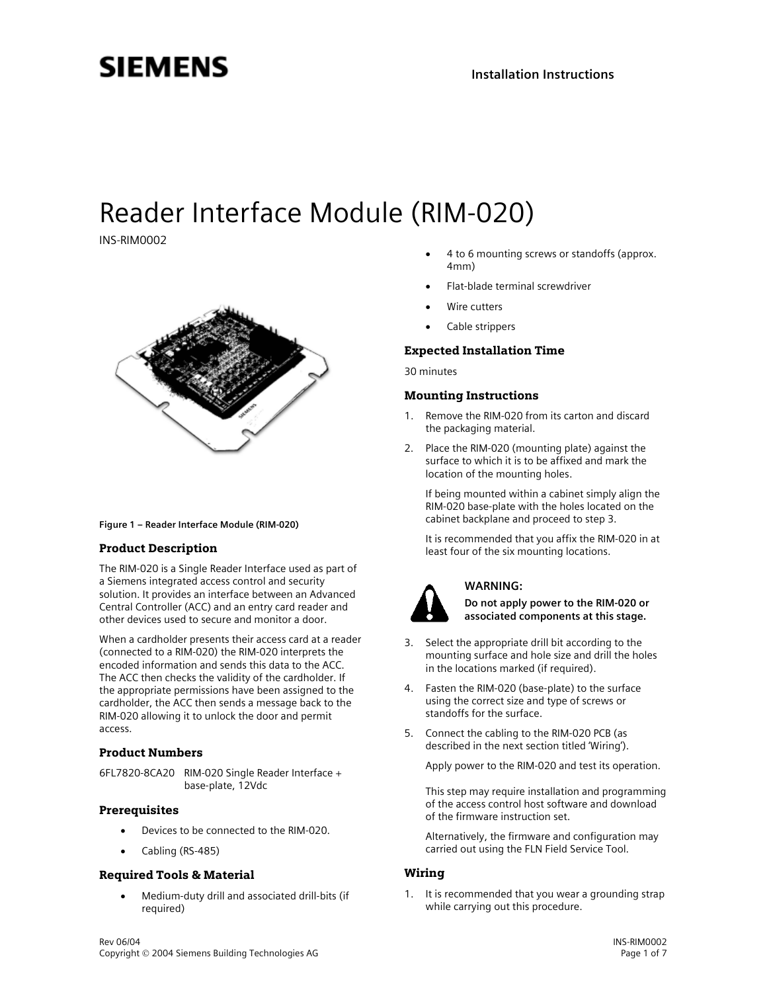## **SIEMENS**

# Reader Interface Module (RIM-020)

INS-RIM0002



#### **Figure 1 – Reader Interface Module (RIM-020)**

#### Product Description

The RIM-020 is a Single Reader Interface used as part of a Siemens integrated access control and security solution. It provides an interface between an Advanced Central Controller (ACC) and an entry card reader and other devices used to secure and monitor a door.

When a cardholder presents their access card at a reader (connected to a RIM-020) the RIM-020 interprets the encoded information and sends this data to the ACC. The ACC then checks the validity of the cardholder. If the appropriate permissions have been assigned to the cardholder, the ACC then sends a message back to the RIM-020 allowing it to unlock the door and permit access.

#### Product Numbers

6FL7820-8CA20 RIM-020 Single Reader Interface + base-plate, 12Vdc

#### Prerequisites

- Devices to be connected to the RIM-020.
- Cabling (RS-485)

#### Required Tools & Material

• Medium-duty drill and associated drill-bits (if required)

- 4 to 6 mounting screws or standoffs (approx. 4mm)
- Flat-blade terminal screwdriver
- Wire cutters
- Cable strippers

#### Expected Installation Time

30 minutes

#### Mounting Instructions

- Remove the RIM-020 from its carton and discard the packaging material.
- 2. Place the RIM-020 (mounting plate) against the surface to which it is to be affixed and mark the location of the mounting holes.

If being mounted within a cabinet simply align the RIM-020 base-plate with the holes located on the cabinet backplane and proceed to step 3.

It is recommended that you affix the RIM-020 in at least four of the six mounting locations.



## **WARNING:**

**Do not apply power to the RIM-020 or associated components at this stage.** 

- 3. Select the appropriate drill bit according to the mounting surface and hole size and drill the holes in the locations marked (if required).
- 4. Fasten the RIM-020 (base-plate) to the surface using the correct size and type of screws or standoffs for the surface.
- 5. Connect the cabling to the RIM-020 PCB (as described in the next section titled 'Wiring').

Apply power to the RIM-020 and test its operation.

This step may require installation and programming of the access control host software and download of the firmware instruction set.

Alternatively, the firmware and configuration may carried out using the FLN Field Service Tool.

#### Wiring

1. It is recommended that you wear a grounding strap while carrying out this procedure.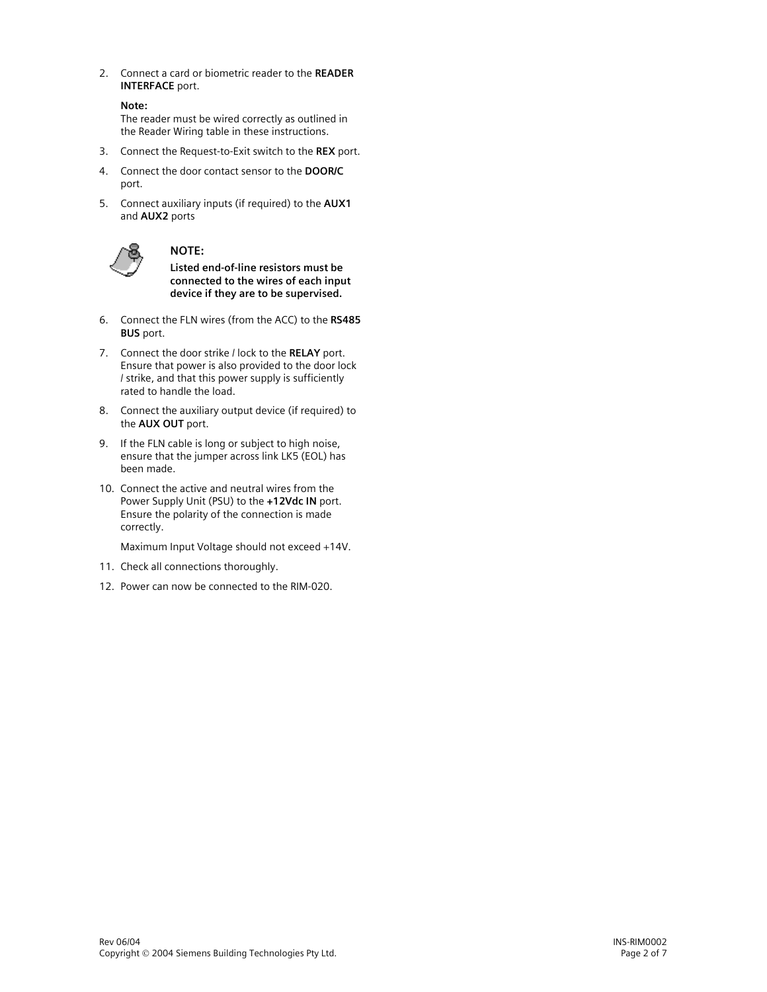2. Connect a card or biometric reader to the **READER INTERFACE** port.

```
Note:
```
The reader must be wired correctly as outlined in the Reader Wiring table in these instructions.

- 3. Connect the Request-to-Exit switch to the **REX** port.
- 4. Connect the door contact sensor to the **DOOR/C** port.
- 5. Connect auxiliary inputs (if required) to the **AUX1** and **AUX2** ports



## **NOTE:**

**Listed end-of-line resistors must be connected to the wires of each input device if they are to be supervised.**

- 6. Connect the FLN wires (from the ACC) to the **RS485 BUS** port.
- 7. Connect the door strike / lock to the **RELAY** port. Ensure that power is also provided to the door lock / strike, and that this power supply is sufficiently rated to handle the load.
- 8. Connect the auxiliary output device (if required) to the **AUX OUT** port.
- 9. If the FLN cable is long or subject to high noise, ensure that the jumper across link LK5 (EOL) has been made.
- 10. Connect the active and neutral wires from the Power Supply Unit (PSU) to the **+12Vdc IN** port. Ensure the polarity of the connection is made correctly.

Maximum Input Voltage should not exceed +14V.

- 11. Check all connections thoroughly.
- 12. Power can now be connected to the RIM-020.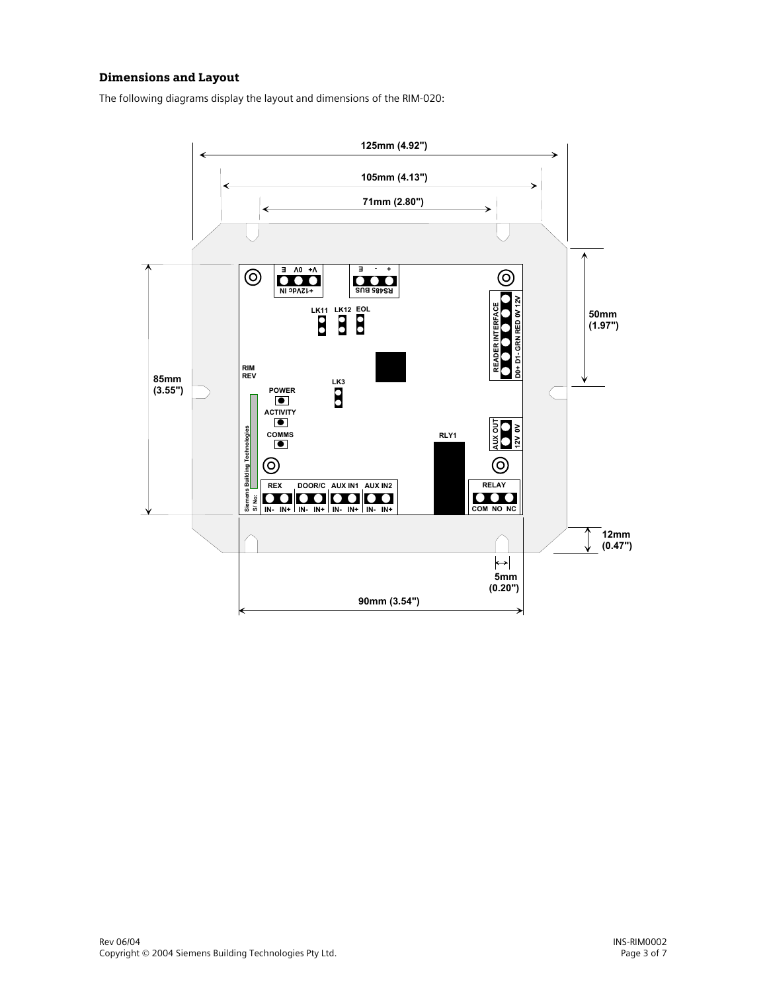## Dimensions and Layout

The following diagrams display the layout and dimensions of the RIM-020:

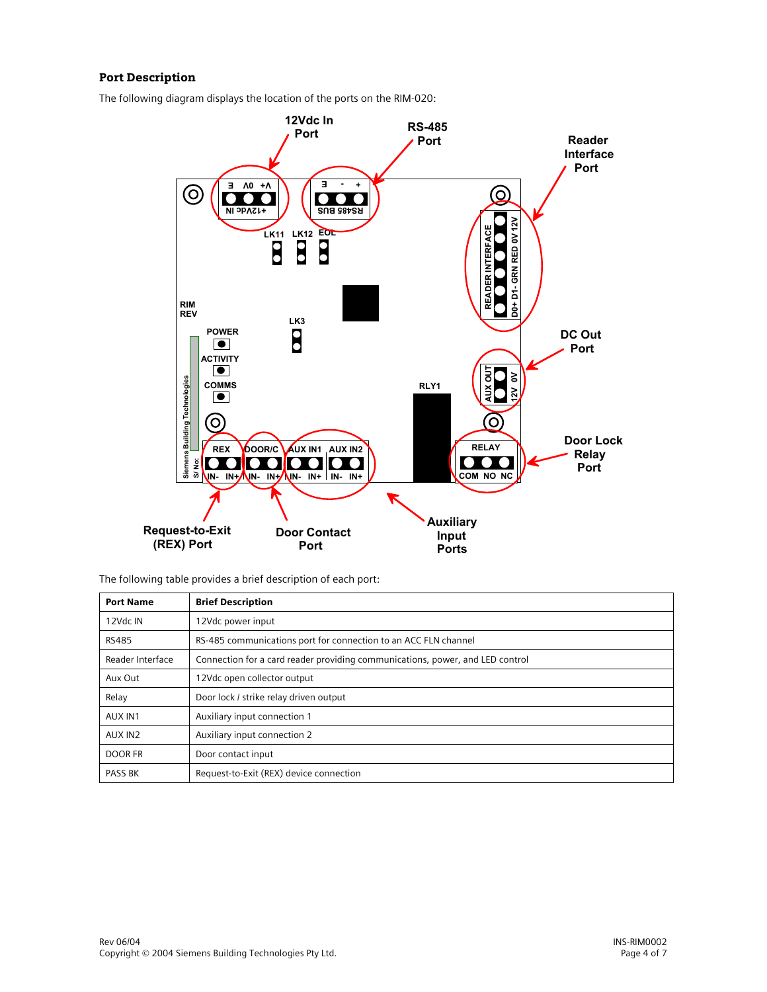## Port Description

The following diagram displays the location of the ports on the RIM-020:



The following table provides a brief description of each port:

| <b>Port Name</b> | <b>Brief Description</b>                                                      |
|------------------|-------------------------------------------------------------------------------|
| 12Vdc IN         | 12Vdc power input                                                             |
| <b>RS485</b>     | RS-485 communications port for connection to an ACC FLN channel               |
| Reader Interface | Connection for a card reader providing communications, power, and LED control |
| Aux Out          | 12Vdc open collector output                                                   |
| Relay            | Door lock / strike relay driven output                                        |
| AUX IN1          | Auxiliary input connection 1                                                  |
| AUX IN2          | Auxiliary input connection 2                                                  |
| DOOR FR          | Door contact input                                                            |
| <b>PASS BK</b>   | Request-to-Exit (REX) device connection                                       |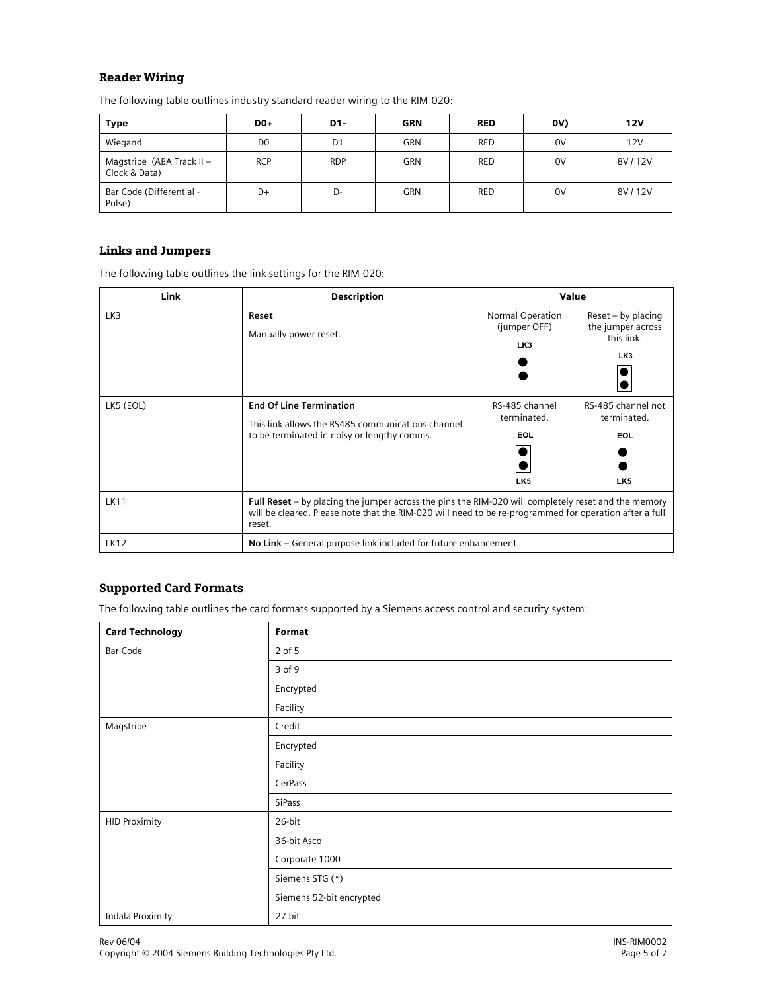#### Reader Wiring

The following table outlines industry standard reader wiring to the RIM-020:

| Type                                         | $D0+$          | D1-            | <b>GRN</b> | <b>RED</b> | (V) | 12V    |
|----------------------------------------------|----------------|----------------|------------|------------|-----|--------|
| Wiegand                                      | D <sub>0</sub> | D <sub>1</sub> | <b>GRN</b> | <b>RED</b> | 0V  | 12V    |
| Magstripe (ABA Track II $-$<br>Clock & Data) | <b>RCP</b>     | <b>RDP</b>     | <b>GRN</b> | <b>RED</b> | 0V  | 8V/12V |
| Bar Code (Differential -<br>Pulse)           | D+             | D-             | <b>GRN</b> | <b>RED</b> | 0V  | 8V/12V |

## Links and Jumpers

The following table outlines the link settings for the RIM-020:

| Link        | <b>Description</b>                                                                                                                                                                                                      | Value                                                   |                                                                          |  |
|-------------|-------------------------------------------------------------------------------------------------------------------------------------------------------------------------------------------------------------------------|---------------------------------------------------------|--------------------------------------------------------------------------|--|
| LK3         | Reset<br>Manually power reset.                                                                                                                                                                                          | Normal Operation<br>(jumper OFF)<br>LK3                 | Reset - by placing<br>the jumper across<br>this link.<br>LK <sub>3</sub> |  |
| LK5 (EOL)   | <b>End Of Line Termination</b><br>This link allows the RS485 communications channel<br>to be terminated in noisy or lengthy comms.                                                                                      | RS-485 channel<br>terminated.<br>EOL<br>LK <sub>5</sub> | RS-485 channel not<br>terminated.<br><b>EOL</b><br>LK <sub>5</sub>       |  |
| <b>LK11</b> | Full Reset - by placing the jumper across the pins the RIM-020 will completely reset and the memory<br>will be cleared. Please note that the RIM-020 will need to be re-programmed for operation after a full<br>reset. |                                                         |                                                                          |  |
| <b>LK12</b> | No Link – General purpose link included for future enhancement                                                                                                                                                          |                                                         |                                                                          |  |

#### Supported Card Formats

The following table outlines the card formats supported by a Siemens access control and security system:

| <b>Card Technology</b> | Format                   |
|------------------------|--------------------------|
| Bar Code               | 2 of 5                   |
|                        | 3 of 9                   |
|                        | Encrypted                |
|                        | Facility                 |
| Magstripe              | Credit                   |
|                        | Encrypted                |
|                        | Facility                 |
|                        | CerPass                  |
|                        | SiPass                   |
| <b>HID Proximity</b>   | 26-bit                   |
|                        | 36-bit Asco              |
|                        | Corporate 1000           |
|                        | Siemens STG (*)          |
|                        | Siemens 52-bit encrypted |
| Indala Proximity       | 27 bit                   |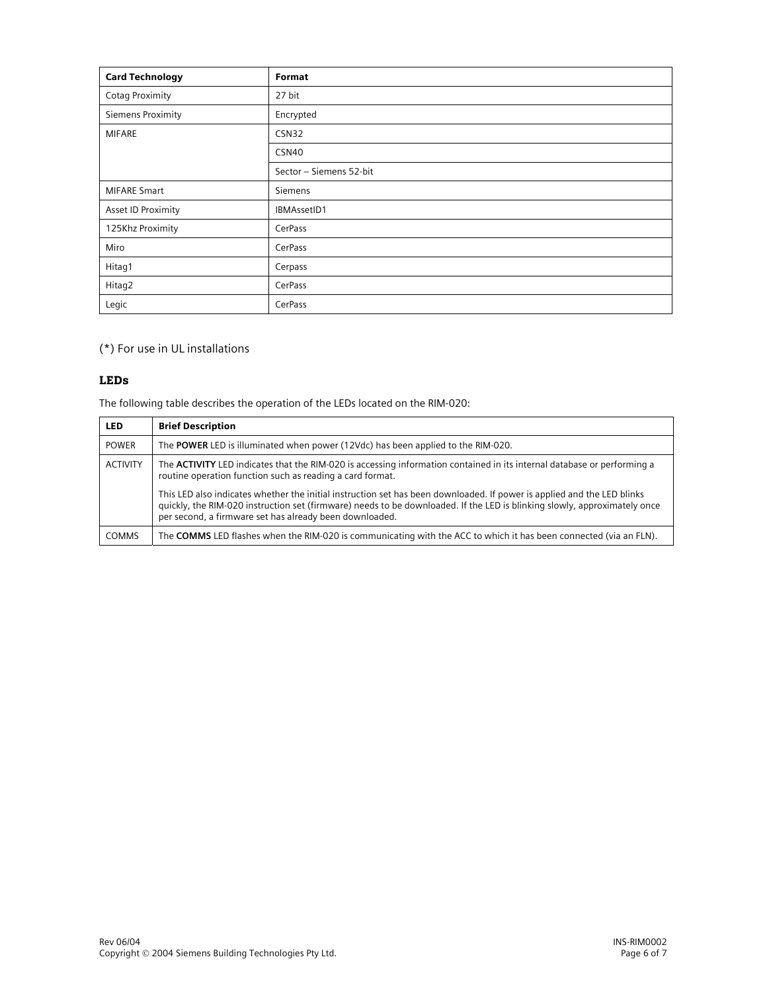| <b>Card Technology</b> | Format                  |
|------------------------|-------------------------|
| <b>Cotag Proximity</b> | 27 bit                  |
| Siemens Proximity      | Encrypted               |
| <b>MIFARE</b>          | CSN32                   |
|                        | CSN40                   |
|                        | Sector - Siemens 52-bit |
| <b>MIFARE Smart</b>    | Siemens                 |
| Asset ID Proximity     | IBMAssetID1             |
| 125Khz Proximity       | CerPass                 |
| Miro                   | CerPass                 |
| Hitag1                 | Cerpass                 |
| Hitag2                 | CerPass                 |
| Legic                  | CerPass                 |

(\*) For use in UL installations

## LEDs

The following table describes the operation of the LEDs located on the RIM-020:

| <b>LED</b>      | <b>Brief Description</b>                                                                                                                                                                                                                                                                                        |
|-----------------|-----------------------------------------------------------------------------------------------------------------------------------------------------------------------------------------------------------------------------------------------------------------------------------------------------------------|
| <b>POWER</b>    | The POWER LED is illuminated when power (12Vdc) has been applied to the RIM-020.                                                                                                                                                                                                                                |
| <b>ACTIVITY</b> | The ACTIVITY LED indicates that the RIM-020 is accessing information contained in its internal database or performing a<br>routine operation function such as reading a card format.                                                                                                                            |
|                 | This LED also indicates whether the initial instruction set has been downloaded. If power is applied and the LED blinks<br>quickly, the RIM-020 instruction set (firmware) needs to be downloaded. If the LED is blinking slowly, approximately once<br>per second, a firmware set has already been downloaded. |
| <b>COMMS</b>    | The COMMS LED flashes when the RIM-020 is communicating with the ACC to which it has been connected (via an FLN).                                                                                                                                                                                               |